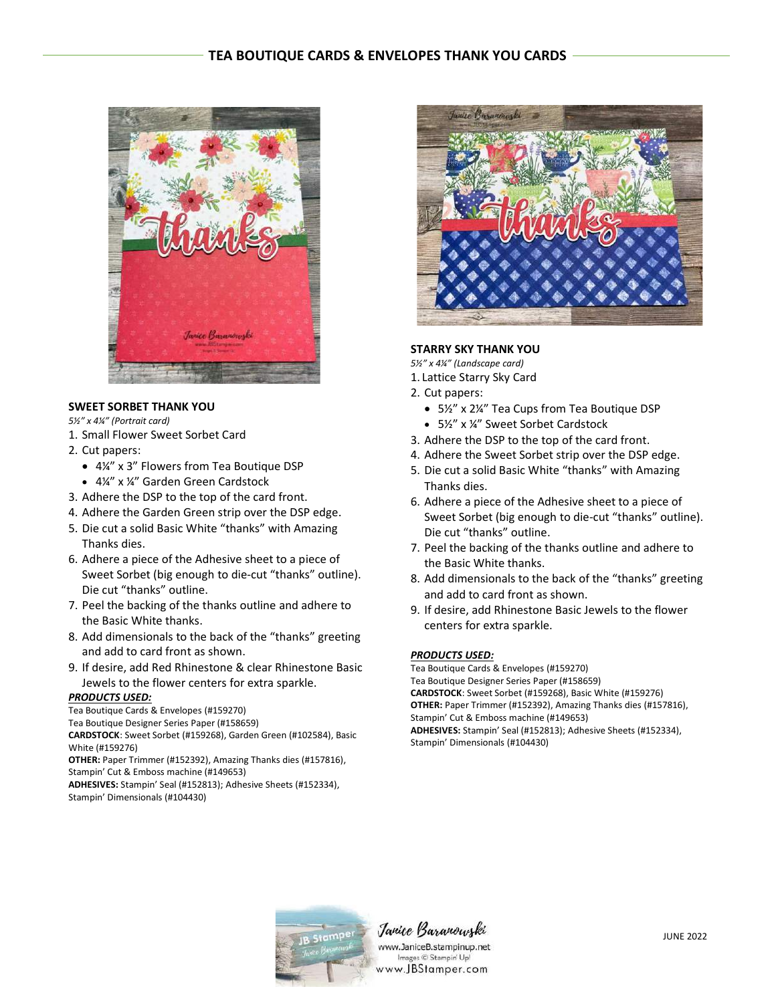

## **SWEET SORBET THANK YOU**

- *5½" x 4¼" (Portrait card)*
- 1. Small Flower Sweet Sorbet Card
- 2. Cut papers:
	- 4¼" x 3" Flowers from Tea Boutique DSP
	- 4¼" x ¼" Garden Green Cardstock
- 3. Adhere the DSP to the top of the card front.
- 4. Adhere the Garden Green strip over the DSP edge.
- 5. Die cut a solid Basic White "thanks" with Amazing Thanks dies.
- 6. Adhere a piece of the Adhesive sheet to a piece of Sweet Sorbet (big enough to die-cut "thanks" outline). Die cut "thanks" outline.
- 7. Peel the backing of the thanks outline and adhere to the Basic White thanks.
- 8. Add dimensionals to the back of the "thanks" greeting and add to card front as shown.
- 9. If desire, add Red Rhinestone & clear Rhinestone Basic Jewels to the flower centers for extra sparkle.

### *PRODUCTS USED:*

Tea Boutique Cards & Envelopes (#159270)

Tea Boutique Designer Series Paper (#158659)

**CARDSTOCK**: Sweet Sorbet (#159268), Garden Green (#102584), Basic White (#159276)

**OTHER:** Paper Trimmer (#152392), Amazing Thanks dies (#157816), Stampin' Cut & Emboss machine (#149653)

**ADHESIVES:** Stampin' Seal (#152813); Adhesive Sheets (#152334), Stampin' Dimensionals (#104430)



# **STARRY SKY THANK YOU**

*5½" x 4¼" (Landscape card)*

- 1. Lattice Starry Sky Card
- 2. Cut papers:
	- 5½" x 2¼" Tea Cups from Tea Boutique DSP
	- 5½" x ¼" Sweet Sorbet Cardstock
- 3. Adhere the DSP to the top of the card front.
- 4. Adhere the Sweet Sorbet strip over the DSP edge.
- 5. Die cut a solid Basic White "thanks" with Amazing Thanks dies.
- 6. Adhere a piece of the Adhesive sheet to a piece of Sweet Sorbet (big enough to die-cut "thanks" outline). Die cut "thanks" outline.
- 7. Peel the backing of the thanks outline and adhere to the Basic White thanks.
- 8. Add dimensionals to the back of the "thanks" greeting and add to card front as shown.
- 9. If desire, add Rhinestone Basic Jewels to the flower centers for extra sparkle.

### *PRODUCTS USED:*

Tea Boutique Cards & Envelopes (#159270) Tea Boutique Designer Series Paper (#158659) **CARDSTOCK**: Sweet Sorbet (#159268), Basic White (#159276) **OTHER:** Paper Trimmer (#152392), Amazing Thanks dies (#157816), Stampin' Cut & Emboss machine (#149653) **ADHESIVES:** Stampin' Seal (#152813); Adhesive Sheets (#152334), Stampin' Dimensionals (#104430)